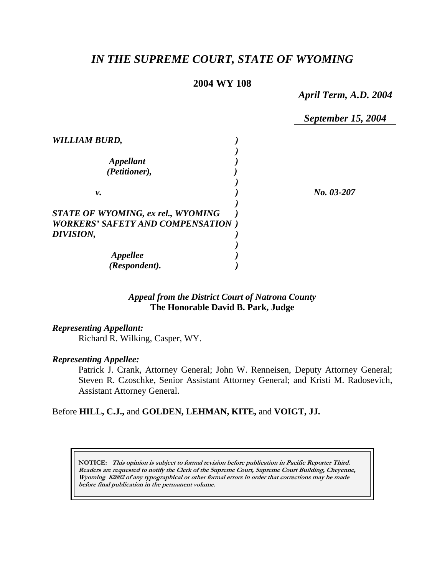# *IN THE SUPREME COURT, STATE OF WYOMING*

#### **2004 WY 108**

*April Term, A.D. 2004* 

*September 15, 2004* 

| WILLIAM BURD,                                                                   |            |
|---------------------------------------------------------------------------------|------------|
| <i><b>Appellant</b></i><br>(Petitioner),                                        |            |
| ν.                                                                              | No. 03-207 |
| STATE OF WYOMING, ex rel., WYOMING<br><b>WORKERS' SAFETY AND COMPENSATION</b> ) |            |
| DIVISION,                                                                       |            |
| <i><b>Appellee</b></i><br>(Respondent).                                         |            |

#### *Appeal from the District Court of Natrona County* **The Honorable David B. Park, Judge**

#### *Representing Appellant:*

Richard R. Wilking, Casper, WY.

#### *Representing Appellee:*

Patrick J. Crank, Attorney General; John W. Renneisen, Deputy Attorney General; Steven R. Czoschke, Senior Assistant Attorney General; and Kristi M. Radosevich, Assistant Attorney General.

#### Before **HILL, C.J.,** and **GOLDEN, LEHMAN, KITE,** and **VOIGT, JJ.**

**NOTICE: This opinion is subject to formal revision before publication in Pacific Reporter Third. Readers are requested to notify the Clerk of the Supreme Court, Supreme Court Building, Cheyenne, Wyoming 82002 of any typographical or other formal errors in order that corrections may be made before final publication in the permanent volume.**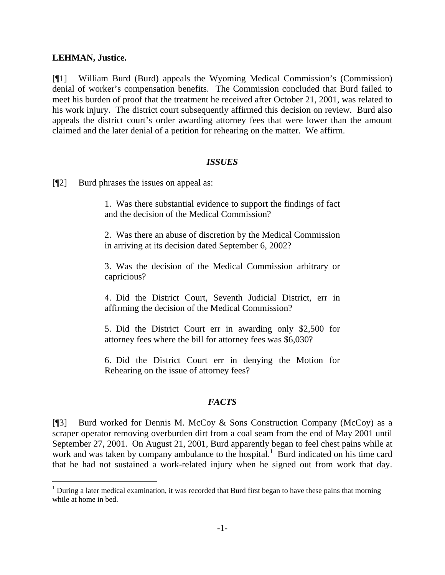#### **LEHMAN, Justice.**

l

[¶1] William Burd (Burd) appeals the Wyoming Medical Commission's (Commission) denial of worker's compensation benefits. The Commission concluded that Burd failed to meet his burden of proof that the treatment he received after October 21, 2001, was related to his work injury. The district court subsequently affirmed this decision on review. Burd also appeals the district court's order awarding attorney fees that were lower than the amount claimed and the later denial of a petition for rehearing on the matter. We affirm.

#### *ISSUES*

[¶2] Burd phrases the issues on appeal as:

1. Was there substantial evidence to support the findings of fact and the decision of the Medical Commission?

2. Was there an abuse of discretion by the Medical Commission in arriving at its decision dated September 6, 2002?

3. Was the decision of the Medical Commission arbitrary or capricious?

4. Did the District Court, Seventh Judicial District, err in affirming the decision of the Medical Commission?

5. Did the District Court err in awarding only \$2,500 for attorney fees where the bill for attorney fees was \$6,030?

6. Did the District Court err in denying the Motion for Rehearing on the issue of attorney fees?

## *FACTS*

[¶3] Burd worked for Dennis M. McCoy & Sons Construction Company (McCoy) as a scraper operator removing overburden dirt from a coal seam from the end of May 2001 until September 27, 2001. On August 21, 2001, Burd apparently began to feel chest pains while at work and was taken by company ambulance to the hospital.<sup>1</sup> Burd indicated on his time card that he had not sustained a work-related injury when he signed out from work that day.

 $1$  During a later medical examination, it was recorded that Burd first began to have these pains that morning while at home in bed.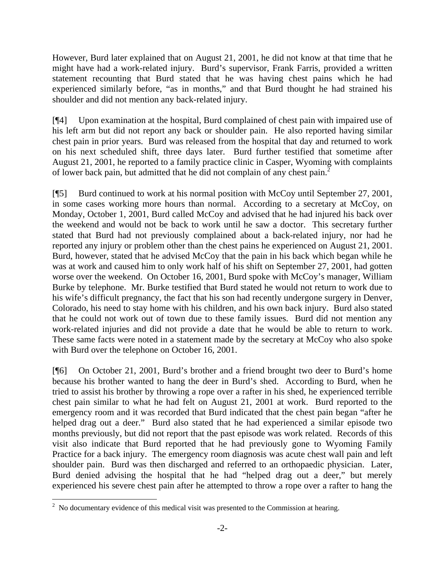However, Burd later explained that on August 21, 2001, he did not know at that time that he might have had a work-related injury. Burd's supervisor, Frank Farris, provided a written statement recounting that Burd stated that he was having chest pains which he had experienced similarly before, "as in months," and that Burd thought he had strained his shoulder and did not mention any back-related injury.

[¶4] Upon examination at the hospital, Burd complained of chest pain with impaired use of his left arm but did not report any back or shoulder pain. He also reported having similar chest pain in prior years. Burd was released from the hospital that day and returned to work on his next scheduled shift, three days later. Burd further testified that sometime after August 21, 2001, he reported to a family practice clinic in Casper, Wyoming with complaints of lower back pain, but admitted that he did not complain of any chest pain.<sup>2</sup>

[¶5] Burd continued to work at his normal position with McCoy until September 27, 2001, in some cases working more hours than normal. According to a secretary at McCoy, on Monday, October 1, 2001, Burd called McCoy and advised that he had injured his back over the weekend and would not be back to work until he saw a doctor. This secretary further stated that Burd had not previously complained about a back-related injury, nor had he reported any injury or problem other than the chest pains he experienced on August 21, 2001. Burd, however, stated that he advised McCoy that the pain in his back which began while he was at work and caused him to only work half of his shift on September 27, 2001, had gotten worse over the weekend. On October 16, 2001, Burd spoke with McCoy's manager, William Burke by telephone. Mr. Burke testified that Burd stated he would not return to work due to his wife's difficult pregnancy, the fact that his son had recently undergone surgery in Denver, Colorado, his need to stay home with his children, and his own back injury. Burd also stated that he could not work out of town due to these family issues. Burd did not mention any work-related injuries and did not provide a date that he would be able to return to work. These same facts were noted in a statement made by the secretary at McCoy who also spoke with Burd over the telephone on October 16, 2001.

[¶6] On October 21, 2001, Burd's brother and a friend brought two deer to Burd's home because his brother wanted to hang the deer in Burd's shed. According to Burd, when he tried to assist his brother by throwing a rope over a rafter in his shed, he experienced terrible chest pain similar to what he had felt on August 21, 2001 at work. Burd reported to the emergency room and it was recorded that Burd indicated that the chest pain began "after he helped drag out a deer." Burd also stated that he had experienced a similar episode two months previously, but did not report that the past episode was work related. Records of this visit also indicate that Burd reported that he had previously gone to Wyoming Family Practice for a back injury. The emergency room diagnosis was acute chest wall pain and left shoulder pain. Burd was then discharged and referred to an orthopaedic physician. Later, Burd denied advising the hospital that he had "helped drag out a deer," but merely experienced his severe chest pain after he attempted to throw a rope over a rafter to hang the

<sup>&</sup>lt;sup>2</sup> No documentary evidence of this medical visit was presented to the Commission at hearing.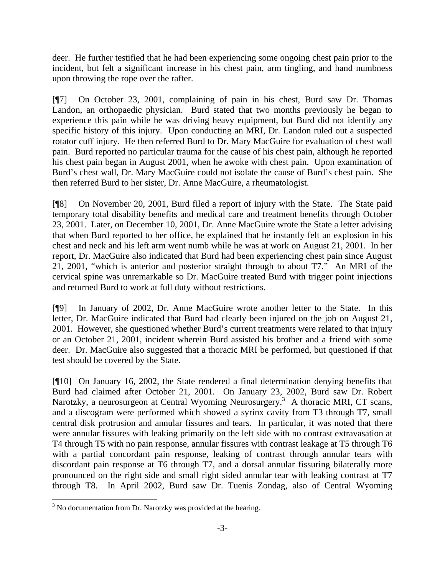deer. He further testified that he had been experiencing some ongoing chest pain prior to the incident, but felt a significant increase in his chest pain, arm tingling, and hand numbness upon throwing the rope over the rafter.

[¶7] On October 23, 2001, complaining of pain in his chest, Burd saw Dr. Thomas Landon, an orthopaedic physician. Burd stated that two months previously he began to experience this pain while he was driving heavy equipment, but Burd did not identify any specific history of this injury. Upon conducting an MRI, Dr. Landon ruled out a suspected rotator cuff injury. He then referred Burd to Dr. Mary MacGuire for evaluation of chest wall pain. Burd reported no particular trauma for the cause of his chest pain, although he reported his chest pain began in August 2001, when he awoke with chest pain. Upon examination of Burd's chest wall, Dr. Mary MacGuire could not isolate the cause of Burd's chest pain. She then referred Burd to her sister, Dr. Anne MacGuire, a rheumatologist.

[¶8] On November 20, 2001, Burd filed a report of injury with the State. The State paid temporary total disability benefits and medical care and treatment benefits through October 23, 2001. Later, on December 10, 2001, Dr. Anne MacGuire wrote the State a letter advising that when Burd reported to her office, he explained that he instantly felt an explosion in his chest and neck and his left arm went numb while he was at work on August 21, 2001. In her report, Dr. MacGuire also indicated that Burd had been experiencing chest pain since August 21, 2001, "which is anterior and posterior straight through to about T7." An MRI of the cervical spine was unremarkable so Dr. MacGuire treated Burd with trigger point injections and returned Burd to work at full duty without restrictions.

[¶9] In January of 2002, Dr. Anne MacGuire wrote another letter to the State. In this letter, Dr. MacGuire indicated that Burd had clearly been injured on the job on August 21, 2001. However, she questioned whether Burd's current treatments were related to that injury or an October 21, 2001, incident wherein Burd assisted his brother and a friend with some deer. Dr. MacGuire also suggested that a thoracic MRI be performed, but questioned if that test should be covered by the State.

[¶10] On January 16, 2002, the State rendered a final determination denying benefits that Burd had claimed after October 21, 2001. On January 23, 2002, Burd saw Dr. Robert Narotzky, a neurosurgeon at Central Wyoming Neurosurgery.<sup>3</sup> A thoracic MRI, CT scans, and a discogram were performed which showed a syrinx cavity from T3 through T7, small central disk protrusion and annular fissures and tears. In particular, it was noted that there were annular fissures with leaking primarily on the left side with no contrast extravasation at T4 through T5 with no pain response, annular fissures with contrast leakage at T5 through T6 with a partial concordant pain response, leaking of contrast through annular tears with discordant pain response at T6 through T7, and a dorsal annular fissuring bilaterally more pronounced on the right side and small right sided annular tear with leaking contrast at T7 through T8. In April 2002, Burd saw Dr. Tuenis Zondag, also of Central Wyoming

 $\overline{a}$ 

 $3$  No documentation from Dr. Narotzky was provided at the hearing.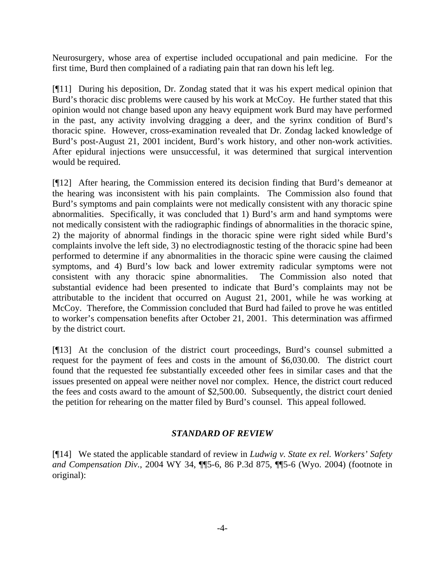Neurosurgery, whose area of expertise included occupational and pain medicine. For the first time, Burd then complained of a radiating pain that ran down his left leg.

[¶11] During his deposition, Dr. Zondag stated that it was his expert medical opinion that Burd's thoracic disc problems were caused by his work at McCoy. He further stated that this opinion would not change based upon any heavy equipment work Burd may have performed in the past, any activity involving dragging a deer, and the syrinx condition of Burd's thoracic spine. However, cross-examination revealed that Dr. Zondag lacked knowledge of Burd's post-August 21, 2001 incident, Burd's work history, and other non-work activities. After epidural injections were unsuccessful, it was determined that surgical intervention would be required.

[¶12] After hearing, the Commission entered its decision finding that Burd's demeanor at the hearing was inconsistent with his pain complaints. The Commission also found that Burd's symptoms and pain complaints were not medically consistent with any thoracic spine abnormalities. Specifically, it was concluded that 1) Burd's arm and hand symptoms were not medically consistent with the radiographic findings of abnormalities in the thoracic spine, 2) the majority of abnormal findings in the thoracic spine were right sided while Burd's complaints involve the left side, 3) no electrodiagnostic testing of the thoracic spine had been performed to determine if any abnormalities in the thoracic spine were causing the claimed symptoms, and 4) Burd's low back and lower extremity radicular symptoms were not consistent with any thoracic spine abnormalities. The Commission also noted that substantial evidence had been presented to indicate that Burd's complaints may not be attributable to the incident that occurred on August 21, 2001, while he was working at McCoy. Therefore, the Commission concluded that Burd had failed to prove he was entitled to worker's compensation benefits after October 21, 2001. This determination was affirmed by the district court.

[¶13] At the conclusion of the district court proceedings, Burd's counsel submitted a request for the payment of fees and costs in the amount of \$6,030.00. The district court found that the requested fee substantially exceeded other fees in similar cases and that the issues presented on appeal were neither novel nor complex. Hence, the district court reduced the fees and costs award to the amount of \$2,500.00. Subsequently, the district court denied the petition for rehearing on the matter filed by Burd's counsel. This appeal followed.

# *STANDARD OF REVIEW*

[¶14] We stated the applicable standard of review in *Ludwig v. State ex rel. Workers' Safety and Compensation Div.*, 2004 WY 34, ¶¶5-6, 86 P.3d 875, ¶¶5-6 (Wyo. 2004) (footnote in original):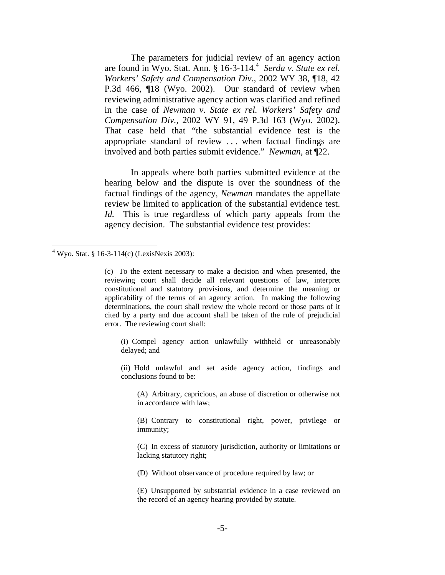The parameters for judicial review of an agency action are found in Wyo. Stat. Ann. § 16-3-114.<sup>4</sup> Serda v. State ex rel. *Workers' Safety and Compensation Div.*, 2002 WY 38, ¶18, 42 P.3d 466, ¶18 (Wyo. 2002). Our standard of review when reviewing administrative agency action was clarified and refined in the case of *Newman v. State ex rel. Workers' Safety and Compensation Div.*, 2002 WY 91, 49 P.3d 163 (Wyo. 2002). That case held that "the substantial evidence test is the appropriate standard of review . . . when factual findings are involved and both parties submit evidence." *Newman*, at ¶22.

 In appeals where both parties submitted evidence at the hearing below and the dispute is over the soundness of the factual findings of the agency, *Newman* mandates the appellate review be limited to application of the substantial evidence test. *Id.* This is true regardless of which party appeals from the agency decision. The substantial evidence test provides:

(i) Compel agency action unlawfully withheld or unreasonably delayed; and

(ii) Hold unlawful and set aside agency action, findings and conclusions found to be:

(A) Arbitrary, capricious, an abuse of discretion or otherwise not in accordance with law;

(B) Contrary to constitutional right, power, privilege or immunity;

(C) In excess of statutory jurisdiction, authority or limitations or lacking statutory right;

(D) Without observance of procedure required by law; or

(E) Unsupported by substantial evidence in a case reviewed on the record of an agency hearing provided by statute.

<sup>&</sup>lt;sup>4</sup> Wyo. Stat. § 16-3-114(c) (LexisNexis 2003):

<sup>(</sup>c) To the extent necessary to make a decision and when presented, the reviewing court shall decide all relevant questions of law, interpret constitutional and statutory provisions, and determine the meaning or applicability of the terms of an agency action. In making the following determinations, the court shall review the whole record or those parts of it cited by a party and due account shall be taken of the rule of prejudicial error. The reviewing court shall: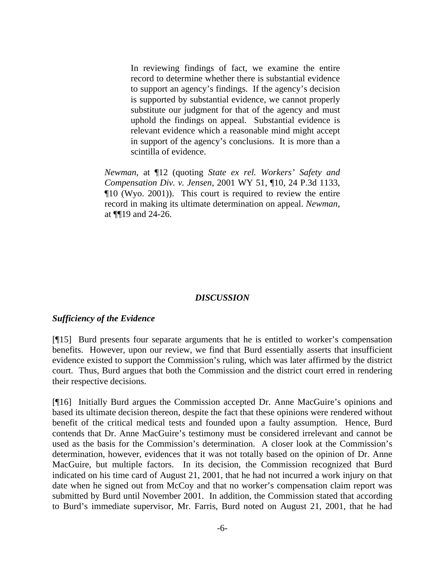In reviewing findings of fact, we examine the entire record to determine whether there is substantial evidence to support an agency's findings. If the agency's decision is supported by substantial evidence, we cannot properly substitute our judgment for that of the agency and must uphold the findings on appeal. Substantial evidence is relevant evidence which a reasonable mind might accept in support of the agency's conclusions. It is more than a scintilla of evidence.

*Newman*, at ¶12 (quoting *State ex rel. Workers' Safety and Compensation Div. v. Jensen*, 2001 WY 51, ¶10, 24 P.3d 1133, ¶10 (Wyo. 2001)). This court is required to review the entire record in making its ultimate determination on appeal. *Newman*, at ¶¶19 and 24-26.

#### *DISCUSSION*

#### *Sufficiency of the Evidence*

[¶15] Burd presents four separate arguments that he is entitled to worker's compensation benefits. However, upon our review, we find that Burd essentially asserts that insufficient evidence existed to support the Commission's ruling, which was later affirmed by the district court. Thus, Burd argues that both the Commission and the district court erred in rendering their respective decisions.

[¶16] Initially Burd argues the Commission accepted Dr. Anne MacGuire's opinions and based its ultimate decision thereon, despite the fact that these opinions were rendered without benefit of the critical medical tests and founded upon a faulty assumption. Hence, Burd contends that Dr. Anne MacGuire's testimony must be considered irrelevant and cannot be used as the basis for the Commission's determination. A closer look at the Commission's determination, however, evidences that it was not totally based on the opinion of Dr. Anne MacGuire, but multiple factors. In its decision, the Commission recognized that Burd indicated on his time card of August 21, 2001, that he had not incurred a work injury on that date when he signed out from McCoy and that no worker's compensation claim report was submitted by Burd until November 2001. In addition, the Commission stated that according to Burd's immediate supervisor, Mr. Farris, Burd noted on August 21, 2001, that he had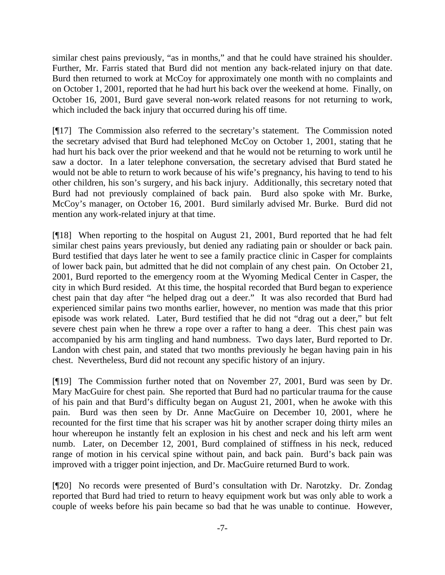similar chest pains previously, "as in months," and that he could have strained his shoulder. Further, Mr. Farris stated that Burd did not mention any back-related injury on that date. Burd then returned to work at McCoy for approximately one month with no complaints and on October 1, 2001, reported that he had hurt his back over the weekend at home. Finally, on October 16, 2001, Burd gave several non-work related reasons for not returning to work, which included the back injury that occurred during his off time.

[¶17] The Commission also referred to the secretary's statement. The Commission noted the secretary advised that Burd had telephoned McCoy on October 1, 2001, stating that he had hurt his back over the prior weekend and that he would not be returning to work until he saw a doctor. In a later telephone conversation, the secretary advised that Burd stated he would not be able to return to work because of his wife's pregnancy, his having to tend to his other children, his son's surgery, and his back injury. Additionally, this secretary noted that Burd had not previously complained of back pain. Burd also spoke with Mr. Burke, McCoy's manager, on October 16, 2001. Burd similarly advised Mr. Burke. Burd did not mention any work-related injury at that time.

[¶18] When reporting to the hospital on August 21, 2001, Burd reported that he had felt similar chest pains years previously, but denied any radiating pain or shoulder or back pain. Burd testified that days later he went to see a family practice clinic in Casper for complaints of lower back pain, but admitted that he did not complain of any chest pain. On October 21, 2001, Burd reported to the emergency room at the Wyoming Medical Center in Casper, the city in which Burd resided. At this time, the hospital recorded that Burd began to experience chest pain that day after "he helped drag out a deer." It was also recorded that Burd had experienced similar pains two months earlier, however, no mention was made that this prior episode was work related. Later, Burd testified that he did not "drag out a deer," but felt severe chest pain when he threw a rope over a rafter to hang a deer. This chest pain was accompanied by his arm tingling and hand numbness. Two days later, Burd reported to Dr. Landon with chest pain, and stated that two months previously he began having pain in his chest. Nevertheless, Burd did not recount any specific history of an injury.

[¶19] The Commission further noted that on November 27, 2001, Burd was seen by Dr. Mary MacGuire for chest pain. She reported that Burd had no particular trauma for the cause of his pain and that Burd's difficulty began on August 21, 2001, when he awoke with this pain. Burd was then seen by Dr. Anne MacGuire on December 10, 2001, where he recounted for the first time that his scraper was hit by another scraper doing thirty miles an hour whereupon he instantly felt an explosion in his chest and neck and his left arm went numb. Later, on December 12, 2001, Burd complained of stiffness in his neck, reduced range of motion in his cervical spine without pain, and back pain. Burd's back pain was improved with a trigger point injection, and Dr. MacGuire returned Burd to work.

[¶20] No records were presented of Burd's consultation with Dr. Narotzky. Dr. Zondag reported that Burd had tried to return to heavy equipment work but was only able to work a couple of weeks before his pain became so bad that he was unable to continue. However,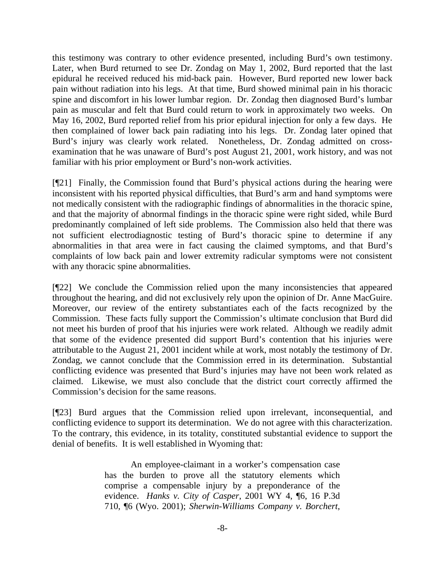this testimony was contrary to other evidence presented, including Burd's own testimony. Later, when Burd returned to see Dr. Zondag on May 1, 2002, Burd reported that the last epidural he received reduced his mid-back pain. However, Burd reported new lower back pain without radiation into his legs. At that time, Burd showed minimal pain in his thoracic spine and discomfort in his lower lumbar region. Dr. Zondag then diagnosed Burd's lumbar pain as muscular and felt that Burd could return to work in approximately two weeks. On May 16, 2002, Burd reported relief from his prior epidural injection for only a few days. He then complained of lower back pain radiating into his legs. Dr. Zondag later opined that Burd's injury was clearly work related. Nonetheless, Dr. Zondag admitted on crossexamination that he was unaware of Burd's post August 21, 2001, work history, and was not familiar with his prior employment or Burd's non-work activities.

[¶21] Finally, the Commission found that Burd's physical actions during the hearing were inconsistent with his reported physical difficulties, that Burd's arm and hand symptoms were not medically consistent with the radiographic findings of abnormalities in the thoracic spine, and that the majority of abnormal findings in the thoracic spine were right sided, while Burd predominantly complained of left side problems. The Commission also held that there was not sufficient electrodiagnostic testing of Burd's thoracic spine to determine if any abnormalities in that area were in fact causing the claimed symptoms, and that Burd's complaints of low back pain and lower extremity radicular symptoms were not consistent with any thoracic spine abnormalities.

[¶22] We conclude the Commission relied upon the many inconsistencies that appeared throughout the hearing, and did not exclusively rely upon the opinion of Dr. Anne MacGuire. Moreover, our review of the entirety substantiates each of the facts recognized by the Commission. These facts fully support the Commission's ultimate conclusion that Burd did not meet his burden of proof that his injuries were work related. Although we readily admit that some of the evidence presented did support Burd's contention that his injuries were attributable to the August 21, 2001 incident while at work, most notably the testimony of Dr. Zondag, we cannot conclude that the Commission erred in its determination. Substantial conflicting evidence was presented that Burd's injuries may have not been work related as claimed. Likewise, we must also conclude that the district court correctly affirmed the Commission's decision for the same reasons.

[¶23] Burd argues that the Commission relied upon irrelevant, inconsequential, and conflicting evidence to support its determination. We do not agree with this characterization. To the contrary, this evidence, in its totality, constituted substantial evidence to support the denial of benefits. It is well established in Wyoming that:

> An employee-claimant in a worker's compensation case has the burden to prove all the statutory elements which comprise a compensable injury by a preponderance of the evidence. *Hanks v. City of Casper*, 2001 WY 4, ¶6, 16 P.3d 710, ¶6 (Wyo. 2001); *Sherwin-Williams Company v. Borchert*,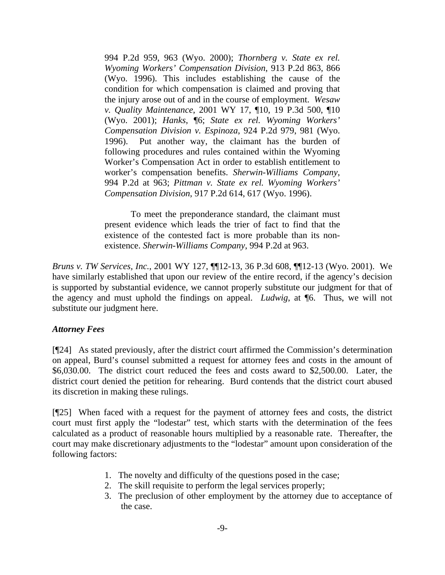994 P.2d 959, 963 (Wyo. 2000); *Thornberg v. State ex rel. Wyoming Workers' Compensation Division*, 913 P.2d 863, 866 (Wyo. 1996). This includes establishing the cause of the condition for which compensation is claimed and proving that the injury arose out of and in the course of employment. *Wesaw v. Quality Maintenance*, 2001 WY 17, ¶10, 19 P.3d 500, ¶10 (Wyo. 2001); *Hanks*, ¶6; *State ex rel. Wyoming Workers' Compensation Division v. Espinoza*, 924 P.2d 979, 981 (Wyo. 1996). Put another way, the claimant has the burden of following procedures and rules contained within the Wyoming Worker's Compensation Act in order to establish entitlement to worker's compensation benefits. *Sherwin-Williams Company*, 994 P.2d at 963; *Pittman v. State ex rel. Wyoming Workers' Compensation Division*, 917 P.2d 614, 617 (Wyo. 1996).

 To meet the preponderance standard, the claimant must present evidence which leads the trier of fact to find that the existence of the contested fact is more probable than its nonexistence. *Sherwin-Williams Company*, 994 P.2d at 963.

*Bruns v. TW Services, Inc.*, 2001 WY 127, ¶¶12-13, 36 P.3d 608, ¶¶12-13 (Wyo. 2001). We have similarly established that upon our review of the entire record, if the agency's decision is supported by substantial evidence, we cannot properly substitute our judgment for that of the agency and must uphold the findings on appeal. *Ludwig*, at ¶6. Thus, we will not substitute our judgment here.

## *Attorney Fees*

[¶24] As stated previously, after the district court affirmed the Commission's determination on appeal, Burd's counsel submitted a request for attorney fees and costs in the amount of \$6,030.00. The district court reduced the fees and costs award to \$2,500.00. Later, the district court denied the petition for rehearing. Burd contends that the district court abused its discretion in making these rulings.

[¶25] When faced with a request for the payment of attorney fees and costs, the district court must first apply the "lodestar" test, which starts with the determination of the fees calculated as a product of reasonable hours multiplied by a reasonable rate. Thereafter, the court may make discretionary adjustments to the "lodestar" amount upon consideration of the following factors:

- 1. The novelty and difficulty of the questions posed in the case;
- 2. The skill requisite to perform the legal services properly;
- 3. The preclusion of other employment by the attorney due to acceptance of the case.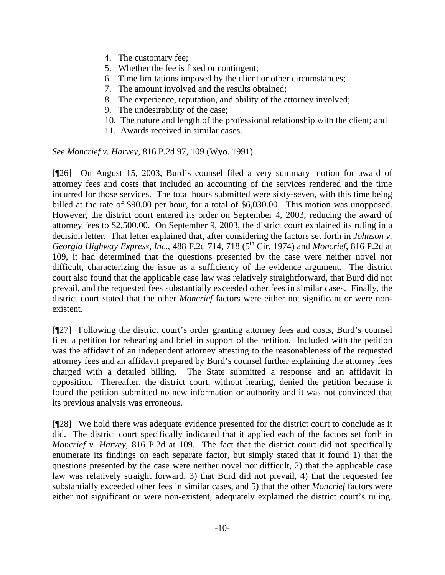- 4. The customary fee;
- 5. Whether the fee is fixed or contingent;
- 6. Time limitations imposed by the client or other circumstances;
- 7. The amount involved and the results obtained;
- 8. The experience, reputation, and ability of the attorney involved;
- 9. The undesirability of the case;
- 10. The nature and length of the professional relationship with the client; and
- 11. Awards received in similar cases.

*See Moncrief v. Harvey*, 816 P.2d 97, 109 (Wyo. 1991).

[¶26] On August 15, 2003, Burd's counsel filed a very summary motion for award of attorney fees and costs that included an accounting of the services rendered and the time incurred for those services. The total hours submitted were sixty-seven, with this time being billed at the rate of \$90.00 per hour, for a total of \$6,030.00. This motion was unopposed. However, the district court entered its order on September 4, 2003, reducing the award of attorney fees to \$2,500.00. On September 9, 2003, the district court explained its ruling in a decision letter. That letter explained that, after considering the factors set forth in *Johnson v. Georgia Highway Express, Inc.,* 488 F.2d 714, 718 (5<sup>th</sup> Cir. 1974) and *Moncrief*, 816 P.2d at 109, it had determined that the questions presented by the case were neither novel nor difficult, characterizing the issue as a sufficiency of the evidence argument. The district court also found that the applicable case law was relatively straightforward, that Burd did not prevail, and the requested fees substantially exceeded other fees in similar cases. Finally, the district court stated that the other *Moncrief* factors were either not significant or were nonexistent.

[¶27] Following the district court's order granting attorney fees and costs, Burd's counsel filed a petition for rehearing and brief in support of the petition. Included with the petition was the affidavit of an independent attorney attesting to the reasonableness of the requested attorney fees and an affidavit prepared by Burd's counsel further explaining the attorney fees charged with a detailed billing. The State submitted a response and an affidavit in opposition. Thereafter, the district court, without hearing, denied the petition because it found the petition submitted no new information or authority and it was not convinced that its previous analysis was erroneous.

[¶28] We hold there was adequate evidence presented for the district court to conclude as it did. The district court specifically indicated that it applied each of the factors set forth in *Moncrief v. Harvey*, 816 P.2d at 109. The fact that the district court did not specifically enumerate its findings on each separate factor, but simply stated that it found 1) that the questions presented by the case were neither novel nor difficult, 2) that the applicable case law was relatively straight forward, 3) that Burd did not prevail, 4) that the requested fee substantially exceeded other fees in similar cases, and 5) that the other *Moncrief* factors were either not significant or were non-existent, adequately explained the district court's ruling.